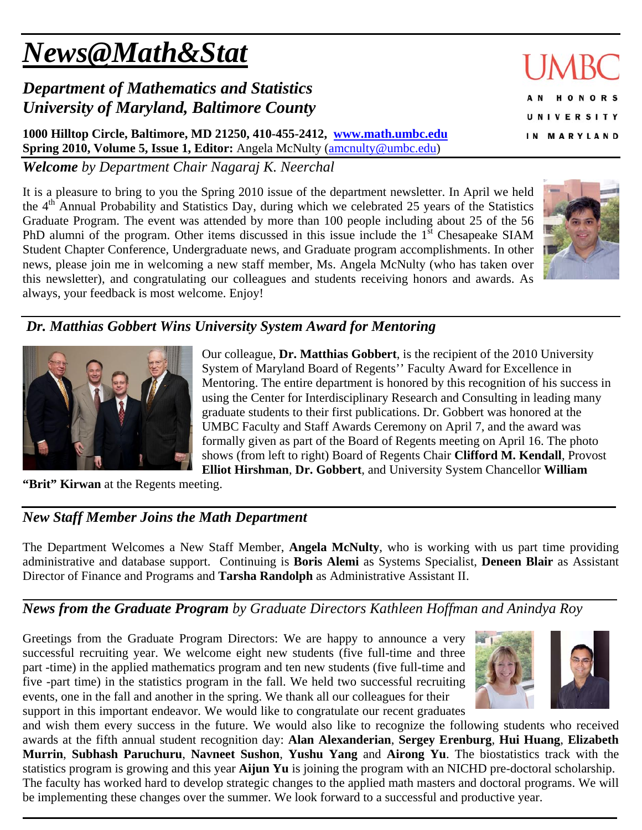# *News@Math&Stat*

## *Department of Mathematics and Statistics University of Maryland, Baltimore County*

**1000 Hilltop Circle, Baltimore, MD 21250, 410-455-2412, www.math.umbc.edu Spring 2010, Volume 5, Issue 1, Editor:** Angela McNulty (amcnulty@umbc.edu)

*Welcome by Department Chair Nagaraj K. Neerchal*

It is a pleasure to bring to you the Spring 2010 issue of the department newsletter. In April we held the 4<sup>th</sup> Annual Probability and Statistics Day, during which we celebrated 25 years of the Statistics Graduate Program. The event was attended by more than 100 people including about 25 of the 56 PhD alumni of the program. Other items discussed in this issue include the  $1<sup>st</sup>$  Chesapeake SIAM Student Chapter Conference, Undergraduate news, and Graduate program accomplishments. In other news, please join me in welcoming a new staff member, Ms. Angela McNulty (who has taken over this newsletter), and congratulating our colleagues and students receiving honors and awards. As always, your feedback is most welcome. Enjoy!





Our colleague, **Dr. Matthias Gobbert**, is the recipient of the 2010 University System of Maryland Board of Regents'' Faculty Award for Excellence in Mentoring. The entire department is honored by this recognition of his success in using the Center for Interdisciplinary Research and Consulting in leading many graduate students to their first publications. Dr. Gobbert was honored at the UMBC Faculty and Staff Awards Ceremony on April 7, and the award was formally given as part of the Board of Regents meeting on April 16. The photo shows (from left to right) Board of Regents Chair **Clifford M. Kendall**, Provost **Elliot Hirshman**, **Dr. Gobbert**, and University System Chancellor **William** 

**"Brit" Kirwan** at the Regents meeting.

### *New Staff Member Joins the Math Department*

The Department Welcomes a New Staff Member, **Angela McNulty**, who is working with us part time providing administrative and database support. Continuing is **Boris Alemi** as Systems Specialist, **Deneen Blair** as Assistant Director of Finance and Programs and **Tarsha Randolph** as Administrative Assistant II.

*News from the Graduate Program by Graduate Directors Kathleen Hoffman and Anindya Roy* 

Greetings from the Graduate Program Directors: We are happy to announce a very successful recruiting year. We welcome eight new students (five full-time and three part -time) in the applied mathematics program and ten new students (five full-time and five -part time) in the statistics program in the fall. We held two successful recruiting events, one in the fall and another in the spring. We thank all our colleagues for their support in this important endeavor. We would like to congratulate our recent graduates



and wish them every success in the future. We would also like to recognize the following students who received awards at the fifth annual student recognition day: **Alan Alexanderian**, **Sergey Erenburg**, **Hui Huang**, **Elizabeth Murrin**, **Subhash Paruchuru**, **Navneet Sushon**, **Yushu Yang** and **Airong Yu**. The biostatistics track with the statistics program is growing and this year **Aijun Yu** is joining the program with an NICHD pre-doctoral scholarship. The faculty has worked hard to develop strategic changes to the applied math masters and doctoral programs. We will be implementing these changes over the summer. We look forward to a successful and productive year.

# IM RO **HONORS NIVERSITY** MARYLAND

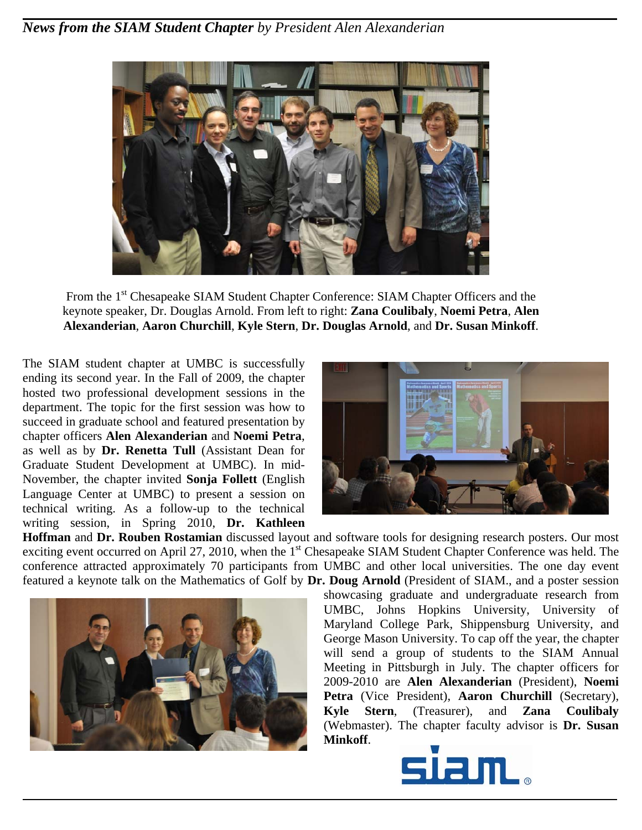

From the 1<sup>st</sup> Chesapeake SIAM Student Chapter Conference: SIAM Chapter Officers and the keynote speaker, Dr. Douglas Arnold. From left to right: **Zana Coulibaly**, **Noemi Petra**, **Alen Alexanderian**, **Aaron Churchill**, **Kyle Stern**, **Dr. Douglas Arnold**, and **Dr. Susan Minkoff**.

The SIAM student chapter at UMBC is successfully ending its second year. In the Fall of 2009, the chapter hosted two professional development sessions in the department. The topic for the first session was how to succeed in graduate school and featured presentation by chapter officers **Alen Alexanderian** and **Noemi Petra**, as well as by **Dr. Renetta Tull** (Assistant Dean for Graduate Student Development at UMBC). In mid-November, the chapter invited **Sonja Follett** (English Language Center at UMBC) to present a session on technical writing. As a follow-up to the technical writing session, in Spring 2010, **Dr. Kathleen** 



**Hoffman** and **Dr. Rouben Rostamian** discussed layout and software tools for designing research posters. Our most exciting event occurred on April 27, 2010, when the 1<sup>st</sup> Chesapeake SIAM Student Chapter Conference was held. The conference attracted approximately 70 participants from UMBC and other local universities. The one day event featured a keynote talk on the Mathematics of Golf by **Dr. Doug Arnold** (President of SIAM., and a poster session



showcasing graduate and undergraduate research from UMBC, Johns Hopkins University, University of Maryland College Park, Shippensburg University, and George Mason University. To cap off the year, the chapter will send a group of students to the SIAM Annual Meeting in Pittsburgh in July. The chapter officers for 2009-2010 are **Alen Alexanderian** (President), **Noemi Petra** (Vice President), **Aaron Churchill** (Secretary), **Kyle Stern**, (Treasurer), and **Zana Coulibaly** (Webmaster). The chapter faculty advisor is **Dr. Susan Minkoff**.

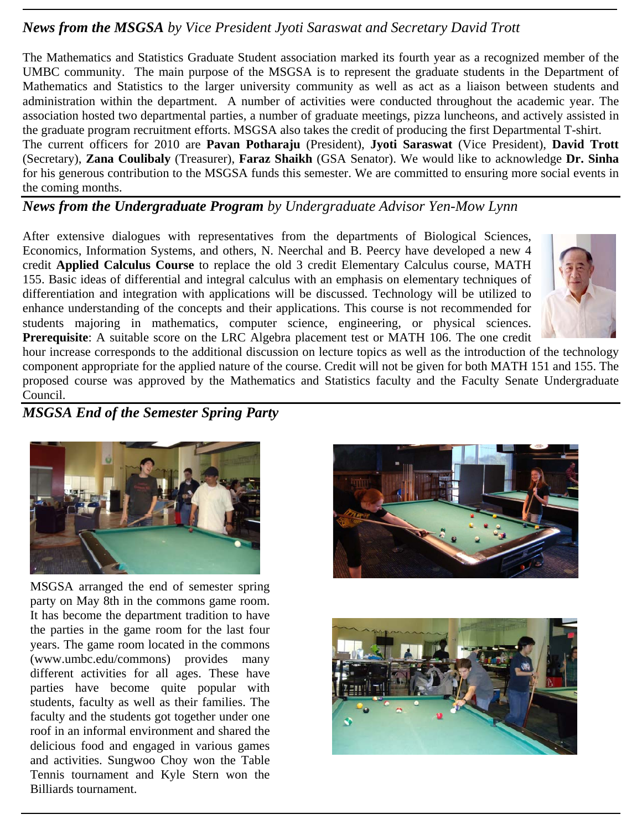#### *News from the MSGSA by Vice President Jyoti Saraswat and Secretary David Trott*

The Mathematics and Statistics Graduate Student association marked its fourth year as a recognized member of the UMBC community. The main purpose of the MSGSA is to represent the graduate students in the Department of Mathematics and Statistics to the larger university community as well as act as a liaison between students and administration within the department. A number of activities were conducted throughout the academic year. The association hosted two departmental parties, a number of graduate meetings, pizza luncheons, and actively assisted in the graduate program recruitment efforts. MSGSA also takes the credit of producing the first Departmental T-shirt.

The current officers for 2010 are **Pavan Potharaju** (President), **Jyoti Saraswat** (Vice President), **David Trott**  (Secretary), **Zana Coulibaly** (Treasurer), **Faraz Shaikh** (GSA Senator). We would like to acknowledge **Dr. Sinha** for his generous contribution to the MSGSA funds this semester. We are committed to ensuring more social events in the coming months.

#### *News from the Undergraduate Program by Undergraduate Advisor Yen-Mow Lynn*

After extensive dialogues with representatives from the departments of Biological Sciences, Economics, Information Systems, and others, N. Neerchal and B. Peercy have developed a new 4 credit **Applied Calculus Course** to replace the old 3 credit Elementary Calculus course, MATH 155. Basic ideas of differential and integral calculus with an emphasis on elementary techniques of differentiation and integration with applications will be discussed. Technology will be utilized to enhance understanding of the concepts and their applications. This course is not recommended for students majoring in mathematics, computer science, engineering, or physical sciences. **Prerequisite**: A suitable score on the LRC Algebra placement test or MATH 106. The one credit



hour increase corresponds to the additional discussion on lecture topics as well as the introduction of the technology component appropriate for the applied nature of the course. Credit will not be given for both MATH 151 and 155. The proposed course was approved by the Mathematics and Statistics faculty and the Faculty Senate Undergraduate Council.

#### *MSGSA End of the Semester Spring Party*



MSGSA arranged the end of semester spring party on May 8th in the commons game room. It has become the department tradition to have the parties in the game room for the last four years. The game room located in the commons (www.umbc.edu/commons) provides many different activities for all ages. These have parties have become quite popular with students, faculty as well as their families. The faculty and the students got together under one roof in an informal environment and shared the delicious food and engaged in various games and activities. Sungwoo Choy won the Table Tennis tournament and Kyle Stern won the Billiards tournament.